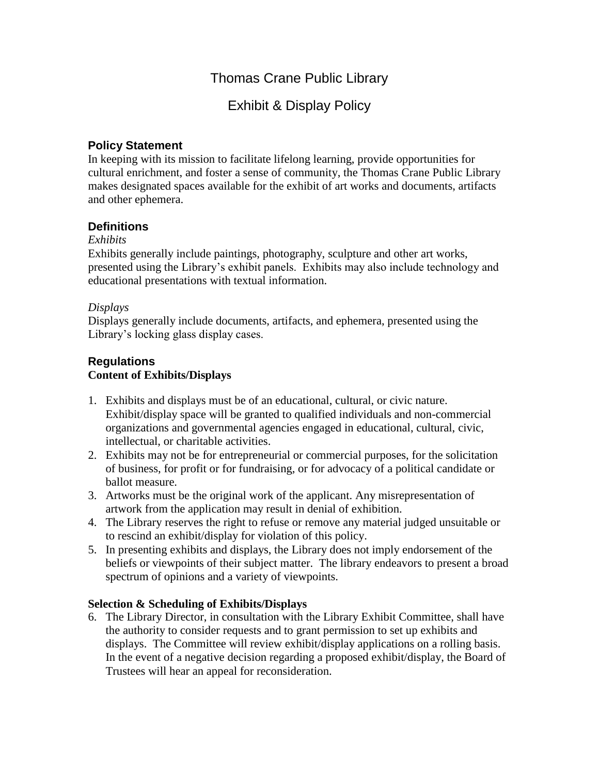# Thomas Crane Public Library

# Exhibit & Display Policy

## **Policy Statement**

In keeping with its mission to facilitate lifelong learning, provide opportunities for cultural enrichment, and foster a sense of community, the Thomas Crane Public Library makes designated spaces available for the exhibit of art works and documents, artifacts and other ephemera.

## **Definitions**

### *Exhibits*

Exhibits generally include paintings, photography, sculpture and other art works, presented using the Library's exhibit panels. Exhibits may also include technology and educational presentations with textual information.

### *Displays*

Displays generally include documents, artifacts, and ephemera, presented using the Library's locking glass display cases.

# **Regulations Content of Exhibits/Displays**

- 1. Exhibits and displays must be of an educational, cultural, or civic nature. Exhibit/display space will be granted to qualified individuals and non-commercial organizations and governmental agencies engaged in educational, cultural, civic, intellectual, or charitable activities.
- 2. Exhibits may not be for entrepreneurial or commercial purposes, for the solicitation of business, for profit or for fundraising, or for advocacy of a political candidate or ballot measure.
- 3. Artworks must be the original work of the applicant. Any misrepresentation of artwork from the application may result in denial of exhibition.
- 4. The Library reserves the right to refuse or remove any material judged unsuitable or to rescind an exhibit/display for violation of this policy.
- 5. In presenting exhibits and displays, the Library does not imply endorsement of the beliefs or viewpoints of their subject matter. The library endeavors to present a broad spectrum of opinions and a variety of viewpoints.

## **Selection & Scheduling of Exhibits/Displays**

6. The Library Director, in consultation with the Library Exhibit Committee, shall have the authority to consider requests and to grant permission to set up exhibits and displays. The Committee will review exhibit/display applications on a rolling basis. In the event of a negative decision regarding a proposed exhibit/display, the Board of Trustees will hear an appeal for reconsideration.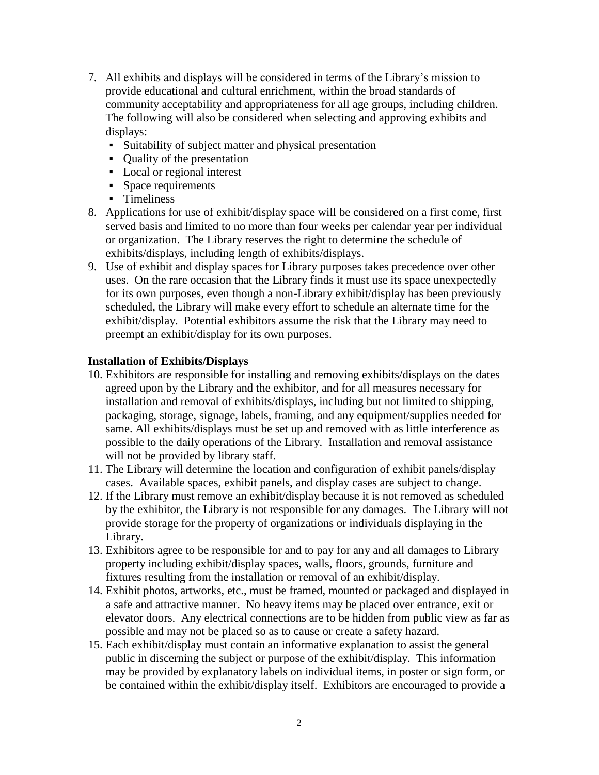- 7. All exhibits and displays will be considered in terms of the Library's mission to provide educational and cultural enrichment, within the broad standards of community acceptability and appropriateness for all age groups, including children. The following will also be considered when selecting and approving exhibits and displays:
	- Suitability of subject matter and physical presentation
	- Quality of the presentation
	- Local or regional interest
	- Space requirements
	- Timeliness
- 8. Applications for use of exhibit/display space will be considered on a first come, first served basis and limited to no more than four weeks per calendar year per individual or organization. The Library reserves the right to determine the schedule of exhibits/displays, including length of exhibits/displays.
- 9. Use of exhibit and display spaces for Library purposes takes precedence over other uses. On the rare occasion that the Library finds it must use its space unexpectedly for its own purposes, even though a non-Library exhibit/display has been previously scheduled, the Library will make every effort to schedule an alternate time for the exhibit/display. Potential exhibitors assume the risk that the Library may need to preempt an exhibit/display for its own purposes.

#### **Installation of Exhibits/Displays**

- 10. Exhibitors are responsible for installing and removing exhibits/displays on the dates agreed upon by the Library and the exhibitor, and for all measures necessary for installation and removal of exhibits/displays, including but not limited to shipping, packaging, storage, signage, labels, framing, and any equipment/supplies needed for same. All exhibits/displays must be set up and removed with as little interference as possible to the daily operations of the Library. Installation and removal assistance will not be provided by library staff.
- 11. The Library will determine the location and configuration of exhibit panels/display cases. Available spaces, exhibit panels, and display cases are subject to change.
- 12. If the Library must remove an exhibit/display because it is not removed as scheduled by the exhibitor, the Library is not responsible for any damages. The Library will not provide storage for the property of organizations or individuals displaying in the Library.
- 13. Exhibitors agree to be responsible for and to pay for any and all damages to Library property including exhibit/display spaces, walls, floors, grounds, furniture and fixtures resulting from the installation or removal of an exhibit/display.
- 14. Exhibit photos, artworks, etc., must be framed, mounted or packaged and displayed in a safe and attractive manner. No heavy items may be placed over entrance, exit or elevator doors. Any electrical connections are to be hidden from public view as far as possible and may not be placed so as to cause or create a safety hazard.
- 15. Each exhibit/display must contain an informative explanation to assist the general public in discerning the subject or purpose of the exhibit/display. This information may be provided by explanatory labels on individual items, in poster or sign form, or be contained within the exhibit/display itself. Exhibitors are encouraged to provide a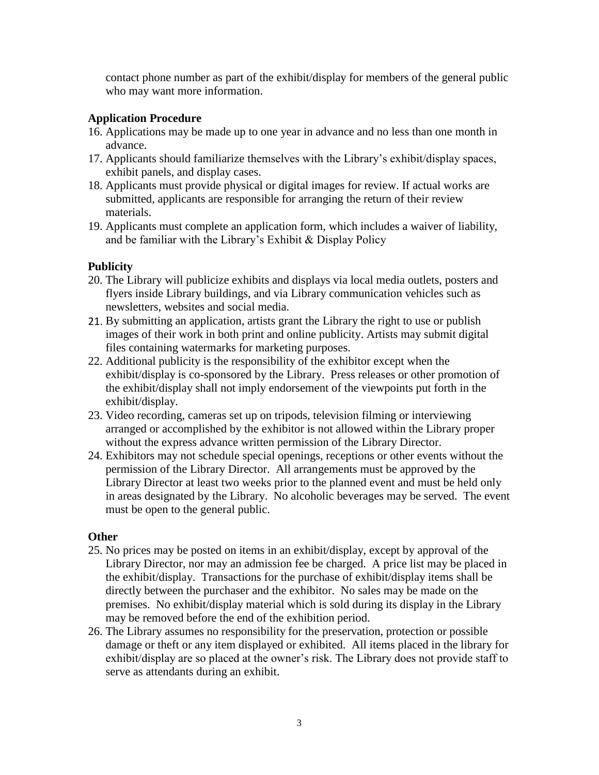contact phone number as part of the exhibit/display for members of the general public who may want more information.

## **Application Procedure**

- 16. Applications may be made up to one year in advance and no less than one month in advance.
- 17. Applicants should familiarize themselves with the Library's exhibit/display spaces, exhibit panels, and display cases.
- 18. Applicants must provide physical or digital images for review. If actual works are submitted, applicants are responsible for arranging the return of their review materials.
- 19. Applicants must complete an application form, which includes a waiver of liability, and be familiar with the Library's Exhibit & Display Policy

### **Publicity**

- 20. The Library will publicize exhibits and displays via local media outlets, posters and flyers inside Library buildings, and via Library communication vehicles such as newsletters, websites and social media.
- 21. By submitting an application, artists grant the Library the right to use or publish images of their work in both print and online publicity. Artists may submit digital files containing watermarks for marketing purposes.
- 22. Additional publicity is the responsibility of the exhibitor except when the exhibit/display is co-sponsored by the Library. Press releases or other promotion of the exhibit/display shall not imply endorsement of the viewpoints put forth in the exhibit/display.
- 23. Video recording, cameras set up on tripods, television filming or interviewing arranged or accomplished by the exhibitor is not allowed within the Library proper without the express advance written permission of the Library Director.
- 24. Exhibitors may not schedule special openings, receptions or other events without the permission of the Library Director. All arrangements must be approved by the Library Director at least two weeks prior to the planned event and must be held only in areas designated by the Library. No alcoholic beverages may be served. The event must be open to the general public.

#### **Other**

- 25. No prices may be posted on items in an exhibit/display, except by approval of the Library Director, nor may an admission fee be charged. A price list may be placed in the exhibit/display. Transactions for the purchase of exhibit/display items shall be directly between the purchaser and the exhibitor. No sales may be made on the premises. No exhibit/display material which is sold during its display in the Library may be removed before the end of the exhibition period.
- 26. The Library assumes no responsibility for the preservation, protection or possible damage or theft or any item displayed or exhibited. All items placed in the library for exhibit/display are so placed at the owner's risk. The Library does not provide staff to serve as attendants during an exhibit.